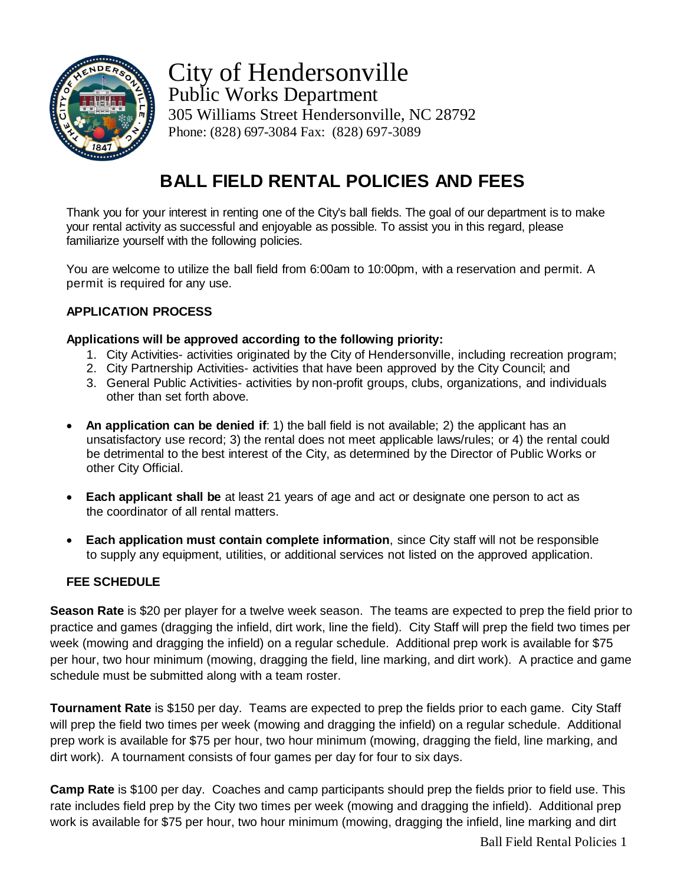

City of Hendersonville Public Works Department 305 Williams Street Hendersonville, NC 28792 Phone: (828) 697-3084 Fax: (828) 697-3089

## **BALL FIELD RENTAL POLICIES AND FEES**

Thank you for your interest in renting one of the City's ball fields. The goal of our department is to make your rental activity as successful and enjoyable as possible. To assist you in this regard, please familiarize yourself with the following policies.

You are welcome to utilize the ball field from 6:00am to 10:00pm, with a reservation and permit. A permit is required for any use.

## **APPLICATION PROCESS**

### **Applications will be approved according to the following priority:**

- 1. City Activities- activities originated by the City of Hendersonville, including recreation program;
- 2. City Partnership Activities- activities that have been approved by the City Council; and
- 3. General Public Activities- activities by non-profit groups, clubs, organizations, and individuals other than set forth above.
- **An application can be denied if**: 1) the ball field is not available; 2) the applicant has an unsatisfactory use record; 3) the rental does not meet applicable laws/rules; or 4) the rental could be detrimental to the best interest of the City, as determined by the Director of Public Works or other City Official.
- **Each applicant shall be** at least 21 years of age and act or designate one person to act as the coordinator of all rental matters.
- **Each application must contain complete information**, since City staff will not be responsible to supply any equipment, utilities, or additional services not listed on the approved application.

### **FEE SCHEDULE**

**Season Rate** is \$20 per player for a twelve week season. The teams are expected to prep the field prior to practice and games (dragging the infield, dirt work, line the field). City Staff will prep the field two times per week (mowing and dragging the infield) on a regular schedule. Additional prep work is available for \$75 per hour, two hour minimum (mowing, dragging the field, line marking, and dirt work). A practice and game schedule must be submitted along with a team roster.

**Tournament Rate** is \$150 per day. Teams are expected to prep the fields prior to each game. City Staff will prep the field two times per week (mowing and dragging the infield) on a regular schedule. Additional prep work is available for \$75 per hour, two hour minimum (mowing, dragging the field, line marking, and dirt work). A tournament consists of four games per day for four to six days.

**Camp Rate** is \$100 per day. Coaches and camp participants should prep the fields prior to field use. This rate includes field prep by the City two times per week (mowing and dragging the infield). Additional prep work is available for \$75 per hour, two hour minimum (mowing, dragging the infield, line marking and dirt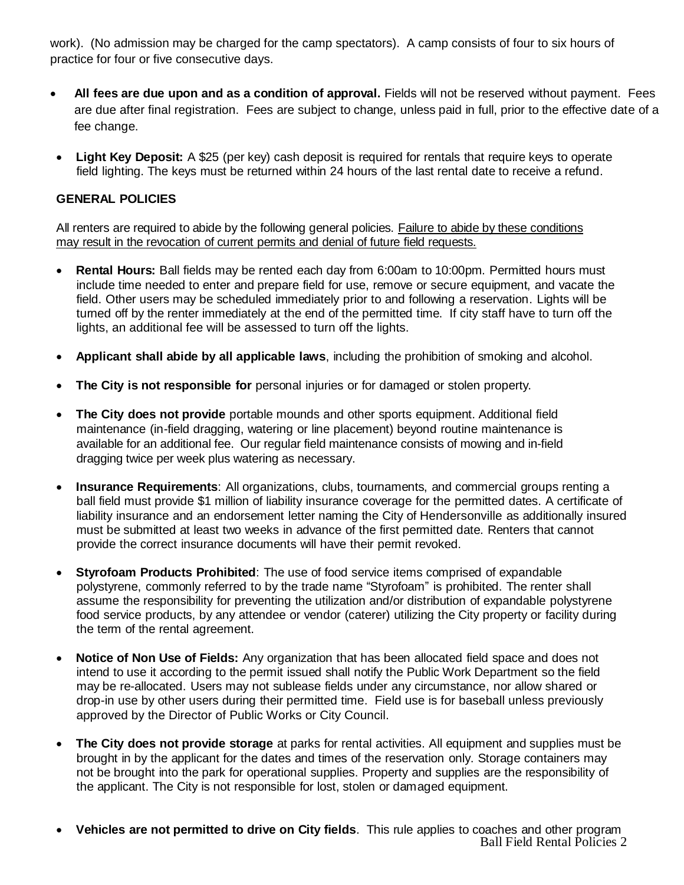work). (No admission may be charged for the camp spectators). A camp consists of four to six hours of practice for four or five consecutive days.

- **All fees are due upon and as a condition of approval.** Fields will not be reserved without payment. Fees are due after final registration. Fees are subject to change, unless paid in full, prior to the effective date of a fee change.
- **Light Key Deposit:** A \$25 (per key) cash deposit is required for rentals that require keys to operate field lighting. The keys must be returned within 24 hours of the last rental date to receive a refund.

## **GENERAL POLICIES**

All renters are required to abide by the following general policies. Failure to abide by these conditions may result in the revocation of current permits and denial of future field requests.

- **Rental Hours:** Ball fields may be rented each day from 6:00am to 10:00pm. Permitted hours must include time needed to enter and prepare field for use, remove or secure equipment, and vacate the field. Other users may be scheduled immediately prior to and following a reservation. Lights will be turned off by the renter immediately at the end of the permitted time. If city staff have to turn off the lights, an additional fee will be assessed to turn off the lights.
- **Applicant shall abide by all applicable laws**, including the prohibition of smoking and alcohol.
- **The City is not responsible for** personal injuries or for damaged or stolen property.
- **The City does not provide** portable mounds and other sports equipment. Additional field maintenance (in-field dragging, watering or line placement) beyond routine maintenance is available for an additional fee. Our regular field maintenance consists of mowing and in-field dragging twice per week plus watering as necessary.
- **Insurance Requirements**: All organizations, clubs, tournaments, and commercial groups renting a ball field must provide \$1 million of liability insurance coverage for the permitted dates. A certificate of liability insurance and an endorsement letter naming the City of Hendersonville as additionally insured must be submitted at least two weeks in advance of the first permitted date. Renters that cannot provide the correct insurance documents will have their permit revoked.
- **Styrofoam Products Prohibited**: The use of food service items comprised of expandable polystyrene, commonly referred to by the trade name "Styrofoam" is prohibited. The renter shall assume the responsibility for preventing the utilization and/or distribution of expandable polystyrene food service products, by any attendee or vendor (caterer) utilizing the City property or facility during the term of the rental agreement.
- **Notice of Non Use of Fields:** Any organization that has been allocated field space and does not intend to use it according to the permit issued shall notify the Public Work Department so the field may be re-allocated. Users may not sublease fields under any circumstance, nor allow shared or drop-in use by other users during their permitted time. Field use is for baseball unless previously approved by the Director of Public Works or City Council.
- **The City does not provide storage** at parks for rental activities. All equipment and supplies must be brought in by the applicant for the dates and times of the reservation only. Storage containers may not be brought into the park for operational supplies. Property and supplies are the responsibility of the applicant. The City is not responsible for lost, stolen or damaged equipment.
- Ball Field Rental Policies 2 **Vehicles are not permitted to drive on City fields**. This rule applies to coaches and other program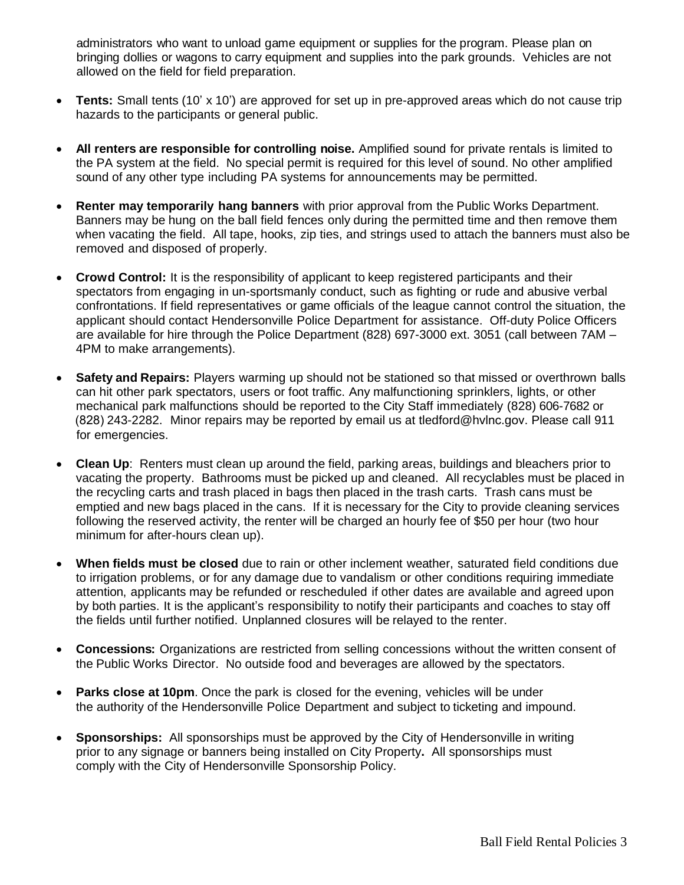administrators who want to unload game equipment or supplies for the program. Please plan on bringing dollies or wagons to carry equipment and supplies into the park grounds. Vehicles are not allowed on the field for field preparation.

- **Tents:** Small tents (10' x 10') are approved for set up in pre-approved areas which do not cause trip hazards to the participants or general public.
- **All renters are responsible for controlling noise.** Amplified sound for private rentals is limited to the PA system at the field. No special permit is required for this level of sound. No other amplified sound of any other type including PA systems for announcements may be permitted.
- **Renter may temporarily hang banners** with prior approval from the Public Works Department. Banners may be hung on the ball field fences only during the permitted time and then remove them when vacating the field. All tape, hooks, zip ties, and strings used to attach the banners must also be removed and disposed of properly.
- **Crowd Control:** It is the responsibility of applicant to keep registered participants and their spectators from engaging in un-sportsmanly conduct, such as fighting or rude and abusive verbal confrontations. If field representatives or game officials of the league cannot control the situation, the applicant should contact Hendersonville Police Department for assistance. Off-duty Police Officers are available for hire through the Police Department (828) 697-3000 ext. 3051 (call between 7AM – 4PM to make arrangements).
- **Safety and Repairs:** Players warming up should not be stationed so that missed or overthrown balls can hit other park spectators, users or foot traffic. Any malfunctioning sprinklers, lights, or other mechanical park malfunctions should be reported to the City Staff immediately (828) 606-7682 or (828) 243-2282. Minor repairs may be reported by email us at tledford@hvlnc.gov. Please call 911 for emergencies.
- **Clean Up**: Renters must clean up around the field, parking areas, buildings and bleachers prior to vacating the property. Bathrooms must be picked up and cleaned. All recyclables must be placed in the recycling carts and trash placed in bags then placed in the trash carts. Trash cans must be emptied and new bags placed in the cans. If it is necessary for the City to provide cleaning services following the reserved activity, the renter will be charged an hourly fee of \$50 per hour (two hour minimum for after-hours clean up).
- **When fields must be closed** due to rain or other inclement weather, saturated field conditions due to irrigation problems, or for any damage due to vandalism or other conditions requiring immediate attention, applicants may be refunded or rescheduled if other dates are available and agreed upon by both parties. It is the applicant's responsibility to notify their participants and coaches to stay off the fields until further notified. Unplanned closures will be relayed to the renter.
- **Concessions:** Organizations are restricted from selling concessions without the written consent of the Public Works Director. No outside food and beverages are allowed by the spectators.
- **Parks close at 10pm**. Once the park is closed for the evening, vehicles will be under the authority of the Hendersonville Police Department and subject to ticketing and impound.
- **Sponsorships:** All sponsorships must be approved by the City of Hendersonville in writing prior to any signage or banners being installed on City Property**.** All sponsorships must comply with the City of Hendersonville Sponsorship Policy.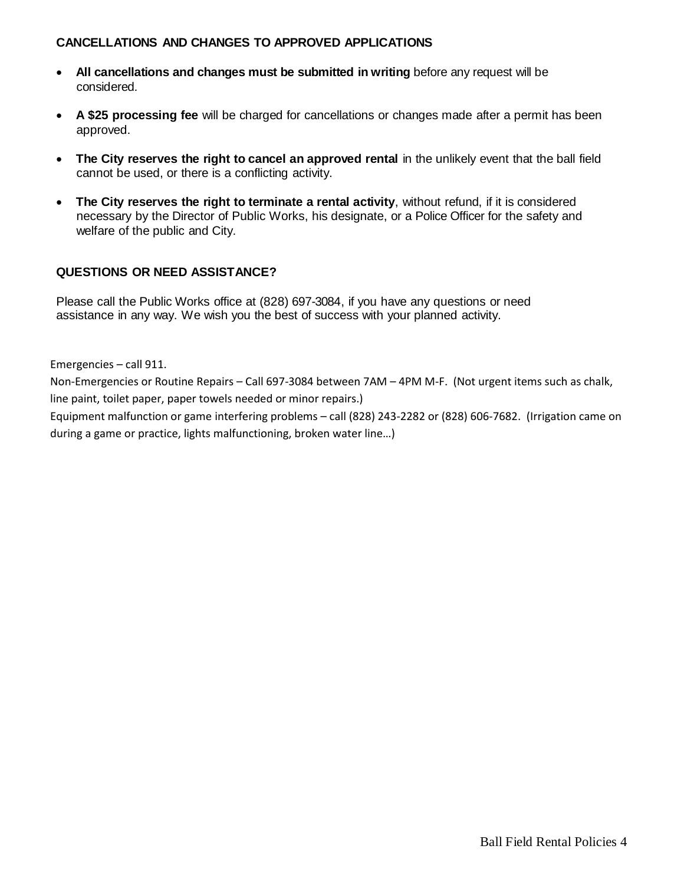### **CANCELLATIONS AND CHANGES TO APPROVED APPLICATIONS**

- **All cancellations and changes must be submitted in writing** before any request will be considered.
- **A \$25 processing fee** will be charged for cancellations or changes made after a permit has been approved.
- **The City reserves the right to cancel an approved rental** in the unlikely event that the ball field cannot be used, or there is a conflicting activity.
- **The City reserves the right to terminate a rental activity**, without refund, if it is considered necessary by the Director of Public Works, his designate, or a Police Officer for the safety and welfare of the public and City.

### **QUESTIONS OR NEED ASSISTANCE?**

Please call the Public Works office at (828) 697-3084, if you have any questions or need assistance in any way. We wish you the best of success with your planned activity.

Emergencies – call 911.

Non-Emergencies or Routine Repairs – Call 697-3084 between 7AM – 4PM M-F. (Not urgent items such as chalk, line paint, toilet paper, paper towels needed or minor repairs.) Equipment malfunction or game interfering problems – call (828) 243-2282 or (828) 606-7682. (Irrigation came on

during a game or practice, lights malfunctioning, broken water line…)